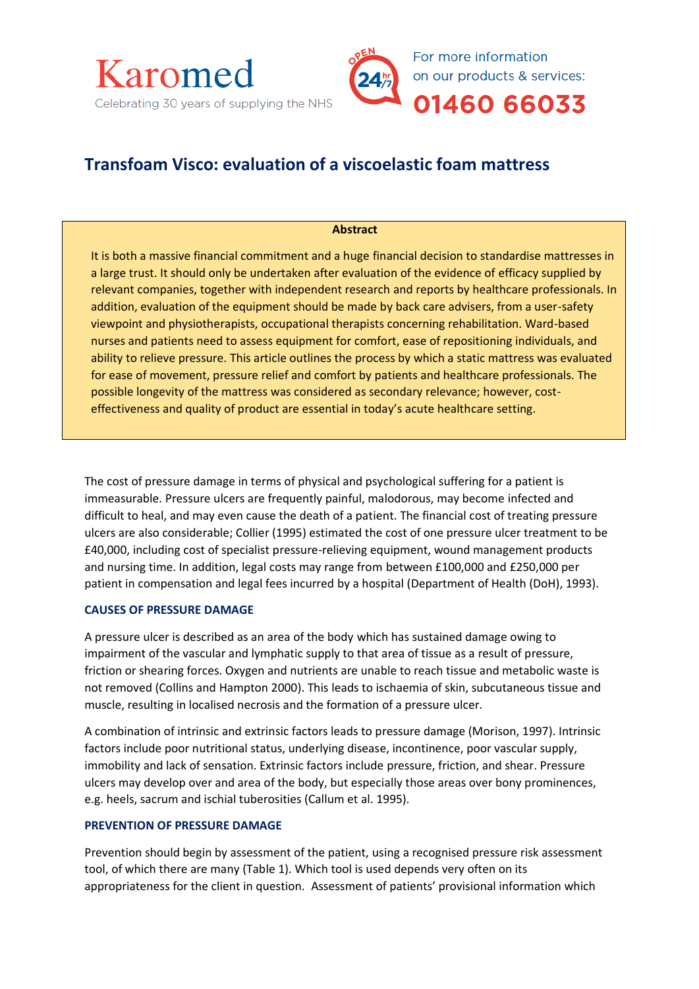



# **Transfoam Visco: evaluation of a viscoelastic foam mattress**

#### **Abstract**

It is both a massive financial commitment and a huge financial decision to standardise mattresses in a large trust. It should only be undertaken after evaluation of the evidence of efficacy supplied by relevant companies, together with independent research and reports by healthcare professionals. In addition, evaluation of the equipment should be made by back care advisers, from a user-safety viewpoint and physiotherapists, occupational therapists concerning rehabilitation. Ward-based nurses and patients need to assess equipment for comfort, ease of repositioning individuals, and ability to relieve pressure. This article outlines the process by which a static mattress was evaluated for ease of movement, pressure relief and comfort by patients and healthcare professionals. The possible longevity of the mattress was considered as secondary relevance; however, costeffectiveness and quality of product are essential in today's acute healthcare setting.

The cost of pressure damage in terms of physical and psychological suffering for a patient is immeasurable. Pressure ulcers are frequently painful, malodorous, may become infected and difficult to heal, and may even cause the death of a patient. The financial cost of treating pressure ulcers are also considerable; Collier (1995) estimated the cost of one pressure ulcer treatment to be £40,000, including cost of specialist pressure-relieving equipment, wound management products and nursing time. In addition, legal costs may range from between £100,000 and £250,000 per patient in compensation and legal fees incurred by a hospital (Department of Health (DoH), 1993).

#### **CAUSES OF PRESSURE DAMAGE**

A pressure ulcer is described as an area of the body which has sustained damage owing to impairment of the vascular and lymphatic supply to that area of tissue as a result of pressure, friction or shearing forces. Oxygen and nutrients are unable to reach tissue and metabolic waste is not removed (Collins and Hampton 2000). This leads to ischaemia of skin, subcutaneous tissue and muscle, resulting in localised necrosis and the formation of a pressure ulcer.

A combination of intrinsic and extrinsic factors leads to pressure damage (Morison, 1997). Intrinsic factors include poor nutritional status, underlying disease, incontinence, poor vascular supply, immobility and lack of sensation. Extrinsic factors include pressure, friction, and shear. Pressure ulcers may develop over and area of the body, but especially those areas over bony prominences, e.g. heels, sacrum and ischial tuberosities (Callum et al. 1995).

#### **PREVENTION OF PRESSURE DAMAGE**

Prevention should begin by assessment of the patient, using a recognised pressure risk assessment tool, of which there are many (Table 1). Which tool is used depends very often on its appropriateness for the client in question. Assessment of patients' provisional information which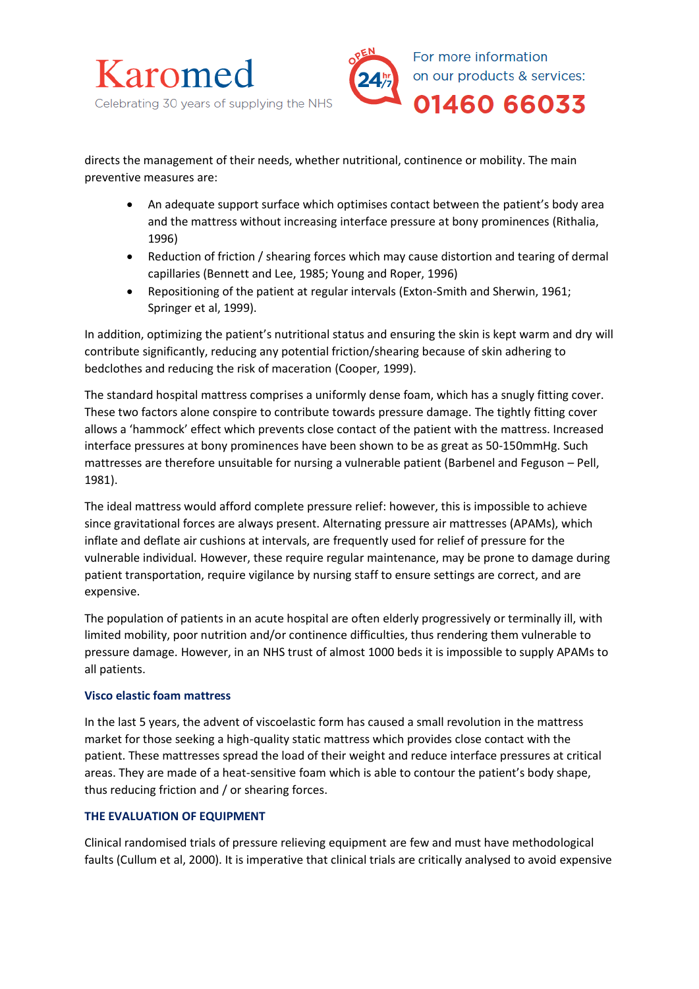



directs the management of their needs, whether nutritional, continence or mobility. The main preventive measures are:

- An adequate support surface which optimises contact between the patient's body area and the mattress without increasing interface pressure at bony prominences (Rithalia, 1996)
- Reduction of friction / shearing forces which may cause distortion and tearing of dermal capillaries (Bennett and Lee, 1985; Young and Roper, 1996)
- Repositioning of the patient at regular intervals (Exton-Smith and Sherwin, 1961; Springer et al, 1999).

In addition, optimizing the patient's nutritional status and ensuring the skin is kept warm and dry will contribute significantly, reducing any potential friction/shearing because of skin adhering to bedclothes and reducing the risk of maceration (Cooper, 1999).

The standard hospital mattress comprises a uniformly dense foam, which has a snugly fitting cover. These two factors alone conspire to contribute towards pressure damage. The tightly fitting cover allows a 'hammock' effect which prevents close contact of the patient with the mattress. Increased interface pressures at bony prominences have been shown to be as great as 50-150mmHg. Such mattresses are therefore unsuitable for nursing a vulnerable patient (Barbenel and Feguson – Pell, 1981).

The ideal mattress would afford complete pressure relief: however, this is impossible to achieve since gravitational forces are always present. Alternating pressure air mattresses (APAMs), which inflate and deflate air cushions at intervals, are frequently used for relief of pressure for the vulnerable individual. However, these require regular maintenance, may be prone to damage during patient transportation, require vigilance by nursing staff to ensure settings are correct, and are expensive.

The population of patients in an acute hospital are often elderly progressively or terminally ill, with limited mobility, poor nutrition and/or continence difficulties, thus rendering them vulnerable to pressure damage. However, in an NHS trust of almost 1000 beds it is impossible to supply APAMs to all patients.

## **Visco elastic foam mattress**

In the last 5 years, the advent of viscoelastic form has caused a small revolution in the mattress market for those seeking a high-quality static mattress which provides close contact with the patient. These mattresses spread the load of their weight and reduce interface pressures at critical areas. They are made of a heat-sensitive foam which is able to contour the patient's body shape, thus reducing friction and / or shearing forces.

#### **THE EVALUATION OF EQUIPMENT**

Clinical randomised trials of pressure relieving equipment are few and must have methodological faults (Cullum et al, 2000). It is imperative that clinical trials are critically analysed to avoid expensive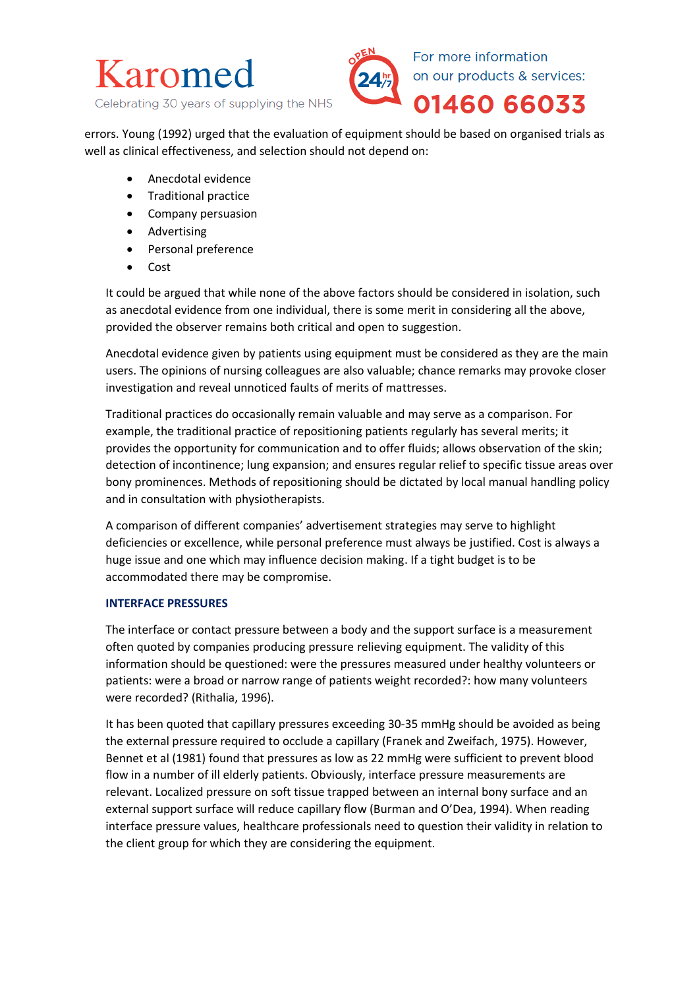



errors. Young (1992) urged that the evaluation of equipment should be based on organised trials as well as clinical effectiveness, and selection should not depend on:

- Anecdotal evidence
- **•** Traditional practice
- Company persuasion
- Advertising
- Personal preference
- Cost

It could be argued that while none of the above factors should be considered in isolation, such as anecdotal evidence from one individual, there is some merit in considering all the above, provided the observer remains both critical and open to suggestion.

Anecdotal evidence given by patients using equipment must be considered as they are the main users. The opinions of nursing colleagues are also valuable; chance remarks may provoke closer investigation and reveal unnoticed faults of merits of mattresses.

Traditional practices do occasionally remain valuable and may serve as a comparison. For example, the traditional practice of repositioning patients regularly has several merits; it provides the opportunity for communication and to offer fluids; allows observation of the skin; detection of incontinence; lung expansion; and ensures regular relief to specific tissue areas over bony prominences. Methods of repositioning should be dictated by local manual handling policy and in consultation with physiotherapists.

A comparison of different companies' advertisement strategies may serve to highlight deficiencies or excellence, while personal preference must always be justified. Cost is always a huge issue and one which may influence decision making. If a tight budget is to be accommodated there may be compromise.

#### **INTERFACE PRESSURES**

The interface or contact pressure between a body and the support surface is a measurement often quoted by companies producing pressure relieving equipment. The validity of this information should be questioned: were the pressures measured under healthy volunteers or patients: were a broad or narrow range of patients weight recorded?: how many volunteers were recorded? (Rithalia, 1996).

It has been quoted that capillary pressures exceeding 30-35 mmHg should be avoided as being the external pressure required to occlude a capillary (Franek and Zweifach, 1975). However, Bennet et al (1981) found that pressures as low as 22 mmHg were sufficient to prevent blood flow in a number of ill elderly patients. Obviously, interface pressure measurements are relevant. Localized pressure on soft tissue trapped between an internal bony surface and an external support surface will reduce capillary flow (Burman and O'Dea, 1994). When reading interface pressure values, healthcare professionals need to question their validity in relation to the client group for which they are considering the equipment.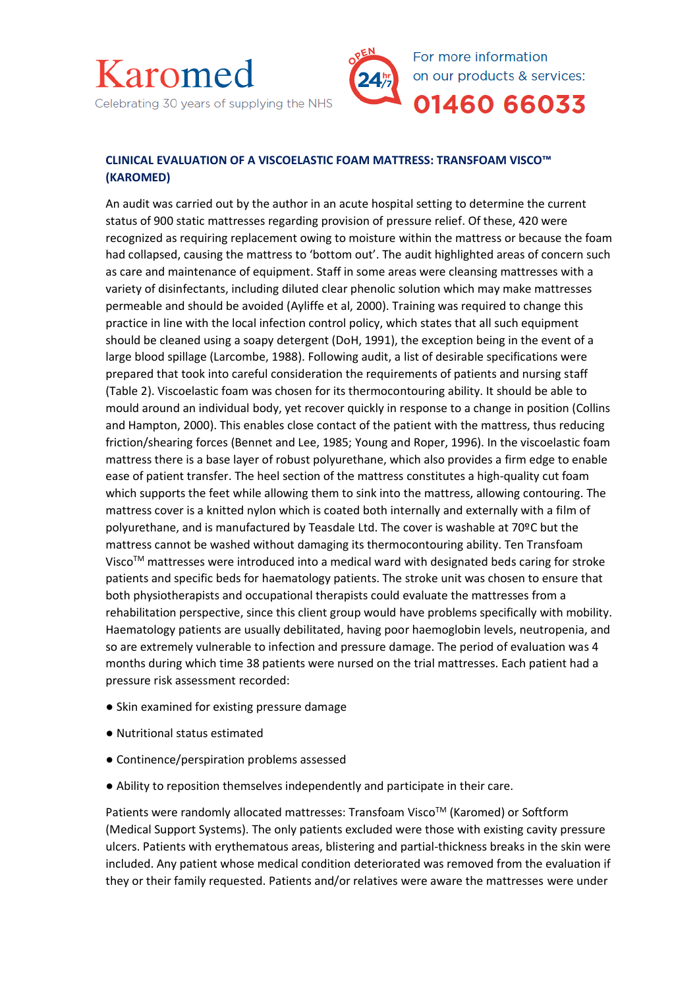



# **CLINICAL EVALUATION OF A VISCOELASTIC FOAM MATTRESS: TRANSFOAM VISCO™ (KAROMED)**

An audit was carried out by the author in an acute hospital setting to determine the current status of 900 static mattresses regarding provision of pressure relief. Of these, 420 were recognized as requiring replacement owing to moisture within the mattress or because the foam had collapsed, causing the mattress to 'bottom out'. The audit highlighted areas of concern such as care and maintenance of equipment. Staff in some areas were cleansing mattresses with a variety of disinfectants, including diluted clear phenolic solution which may make mattresses permeable and should be avoided (Ayliffe et al, 2000). Training was required to change this practice in line with the local infection control policy, which states that all such equipment should be cleaned using a soapy detergent (DoH, 1991), the exception being in the event of a large blood spillage (Larcombe, 1988). Following audit, a list of desirable specifications were prepared that took into careful consideration the requirements of patients and nursing staff (Table 2). Viscoelastic foam was chosen for its thermocontouring ability. It should be able to mould around an individual body, yet recover quickly in response to a change in position (Collins and Hampton, 2000). This enables close contact of the patient with the mattress, thus reducing friction/shearing forces (Bennet and Lee, 1985; Young and Roper, 1996). In the viscoelastic foam mattress there is a base layer of robust polyurethane, which also provides a firm edge to enable ease of patient transfer. The heel section of the mattress constitutes a high-quality cut foam which supports the feet while allowing them to sink into the mattress, allowing contouring. The mattress cover is a knitted nylon which is coated both internally and externally with a film of polyurethane, and is manufactured by Teasdale Ltd. The cover is washable at 70ºC but the mattress cannot be washed without damaging its thermocontouring ability. Ten Transfoam Visco<sup>TM</sup> mattresses were introduced into a medical ward with designated beds caring for stroke patients and specific beds for haematology patients. The stroke unit was chosen to ensure that both physiotherapists and occupational therapists could evaluate the mattresses from a rehabilitation perspective, since this client group would have problems specifically with mobility. Haematology patients are usually debilitated, having poor haemoglobin levels, neutropenia, and so are extremely vulnerable to infection and pressure damage. The period of evaluation was 4 months during which time 38 patients were nursed on the trial mattresses. Each patient had a pressure risk assessment recorded:

- Skin examined for existing pressure damage
- Nutritional status estimated
- Continence/perspiration problems assessed
- Ability to reposition themselves independently and participate in their care.

Patients were randomly allocated mattresses: Transfoam Visco™ (Karomed) or Softform (Medical Support Systems). The only patients excluded were those with existing cavity pressure ulcers. Patients with erythematous areas, blistering and partial-thickness breaks in the skin were included. Any patient whose medical condition deteriorated was removed from the evaluation if they or their family requested. Patients and/or relatives were aware the mattresses were under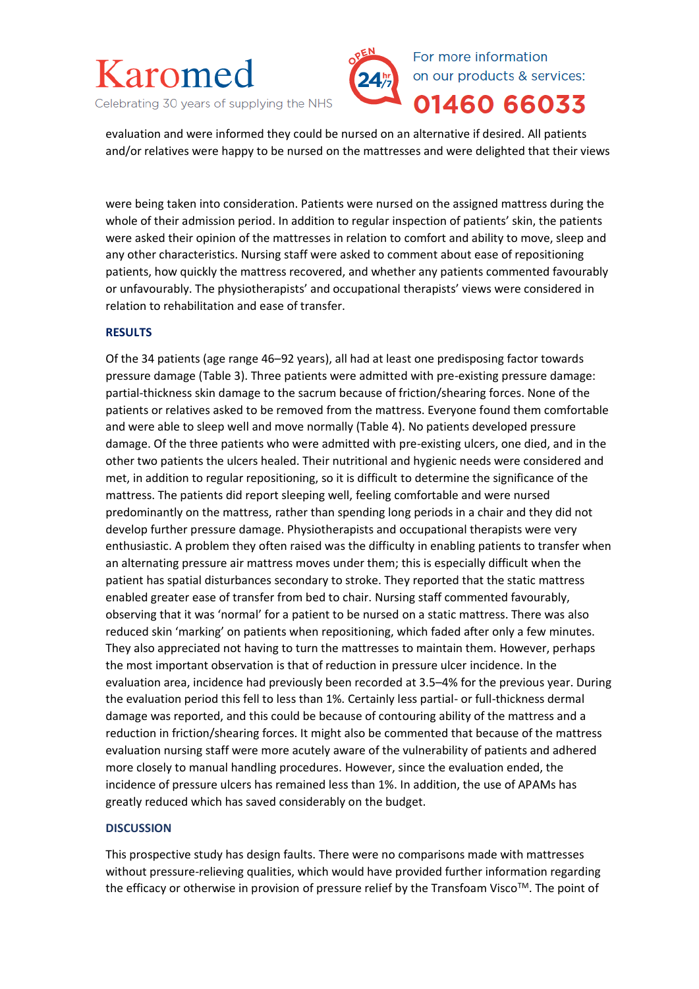



evaluation and were informed they could be nursed on an alternative if desired. All patients and/or relatives were happy to be nursed on the mattresses and were delighted that their views

were being taken into consideration. Patients were nursed on the assigned mattress during the whole of their admission period. In addition to regular inspection of patients' skin, the patients were asked their opinion of the mattresses in relation to comfort and ability to move, sleep and any other characteristics. Nursing staff were asked to comment about ease of repositioning patients, how quickly the mattress recovered, and whether any patients commented favourably or unfavourably. The physiotherapists' and occupational therapists' views were considered in relation to rehabilitation and ease of transfer.

### **RESULTS**

Of the 34 patients (age range 46–92 years), all had at least one predisposing factor towards pressure damage (Table 3). Three patients were admitted with pre-existing pressure damage: partial-thickness skin damage to the sacrum because of friction/shearing forces. None of the patients or relatives asked to be removed from the mattress. Everyone found them comfortable and were able to sleep well and move normally (Table 4). No patients developed pressure damage. Of the three patients who were admitted with pre-existing ulcers, one died, and in the other two patients the ulcers healed. Their nutritional and hygienic needs were considered and met, in addition to regular repositioning, so it is difficult to determine the significance of the mattress. The patients did report sleeping well, feeling comfortable and were nursed predominantly on the mattress, rather than spending long periods in a chair and they did not develop further pressure damage. Physiotherapists and occupational therapists were very enthusiastic. A problem they often raised was the difficulty in enabling patients to transfer when an alternating pressure air mattress moves under them; this is especially difficult when the patient has spatial disturbances secondary to stroke. They reported that the static mattress enabled greater ease of transfer from bed to chair. Nursing staff commented favourably, observing that it was 'normal' for a patient to be nursed on a static mattress. There was also reduced skin 'marking' on patients when repositioning, which faded after only a few minutes. They also appreciated not having to turn the mattresses to maintain them. However, perhaps the most important observation is that of reduction in pressure ulcer incidence. In the evaluation area, incidence had previously been recorded at 3.5–4% for the previous year. During the evaluation period this fell to less than 1%. Certainly less partial- or full-thickness dermal damage was reported, and this could be because of contouring ability of the mattress and a reduction in friction/shearing forces. It might also be commented that because of the mattress evaluation nursing staff were more acutely aware of the vulnerability of patients and adhered more closely to manual handling procedures. However, since the evaluation ended, the incidence of pressure ulcers has remained less than 1%. In addition, the use of APAMs has greatly reduced which has saved considerably on the budget.

#### **DISCUSSION**

This prospective study has design faults. There were no comparisons made with mattresses without pressure-relieving qualities, which would have provided further information regarding the efficacy or otherwise in provision of pressure relief by the Transfoam Visco™. The point of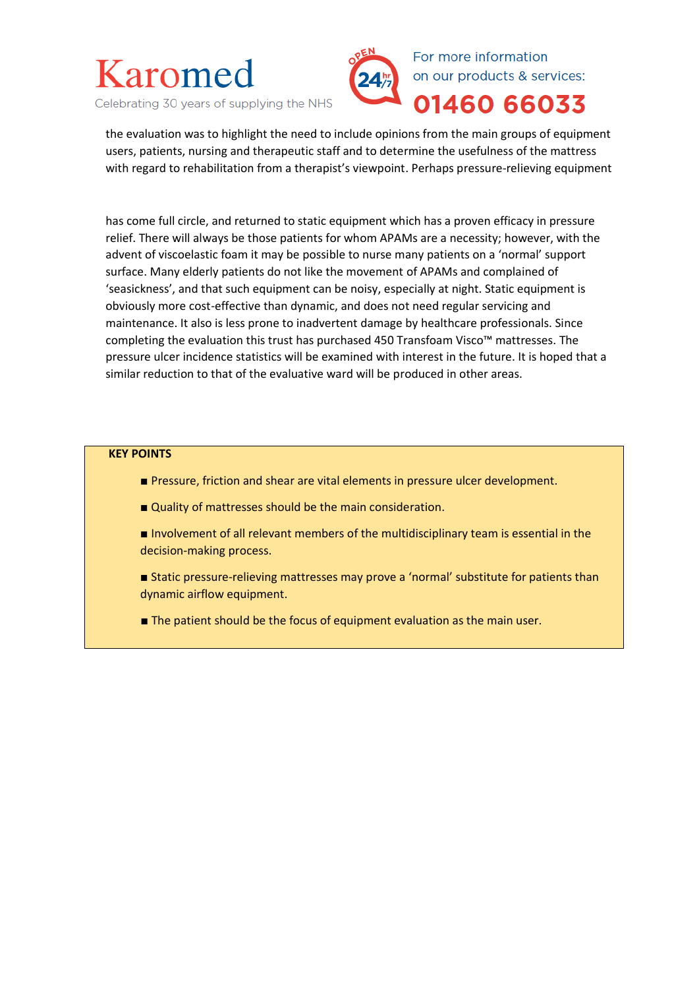

Celebrating 30 years of supplying the NHS



the evaluation was to highlight the need to include opinions from the main groups of equipment users, patients, nursing and therapeutic staff and to determine the usefulness of the mattress with regard to rehabilitation from a therapist's viewpoint. Perhaps pressure-relieving equipment

has come full circle, and returned to static equipment which has a proven efficacy in pressure relief. There will always be those patients for whom APAMs are a necessity; however, with the advent of viscoelastic foam it may be possible to nurse many patients on a 'normal' support surface. Many elderly patients do not like the movement of APAMs and complained of 'seasickness', and that such equipment can be noisy, especially at night. Static equipment is obviously more cost-effective than dynamic, and does not need regular servicing and maintenance. It also is less prone to inadvertent damage by healthcare professionals. Since completing the evaluation this trust has purchased 450 Transfoam Visco™ mattresses. The pressure ulcer incidence statistics will be examined with interest in the future. It is hoped that a similar reduction to that of the evaluative ward will be produced in other areas.

#### **KEY POINTS**

- Pressure, friction and shear are vital elements in pressure ulcer development.
- Quality of mattresses should be the main consideration.
- Involvement of all relevant members of the multidisciplinary team is essential in the decision-making process.
- Static pressure-relieving mattresses may prove a 'normal' substitute for patients than dynamic airflow equipment.
- The patient should be the focus of equipment evaluation as the main user.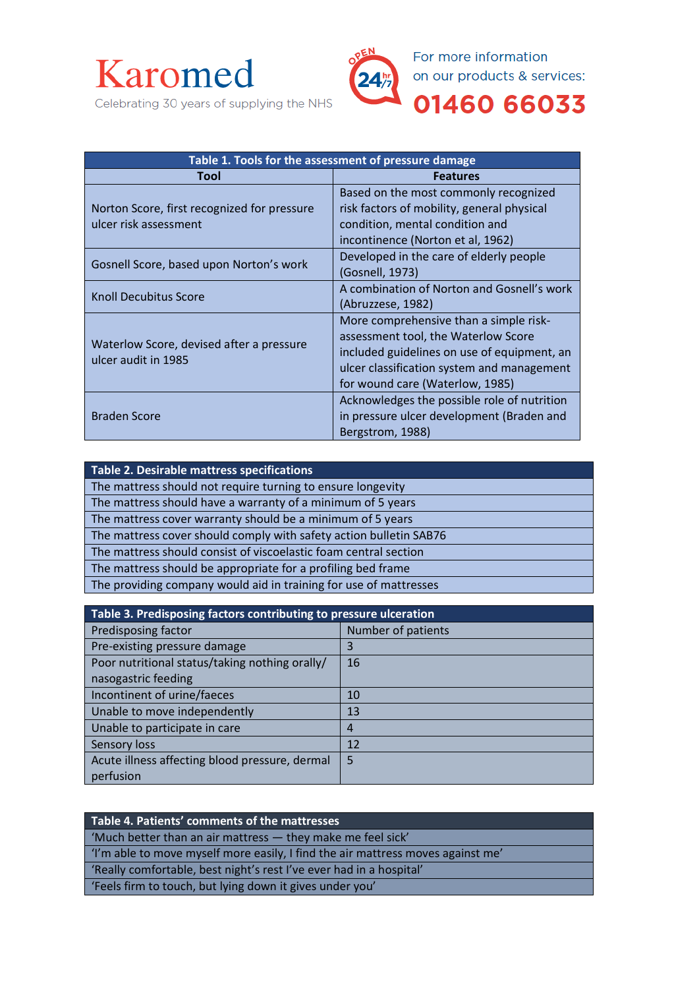

Celebrating 30 years of supplying the NHS



| Table 1. Tools for the assessment of pressure damage                 |                                                                                                                                                                                                               |
|----------------------------------------------------------------------|---------------------------------------------------------------------------------------------------------------------------------------------------------------------------------------------------------------|
| Tool                                                                 | <b>Features</b>                                                                                                                                                                                               |
| Norton Score, first recognized for pressure<br>ulcer risk assessment | Based on the most commonly recognized<br>risk factors of mobility, general physical<br>condition, mental condition and<br>incontinence (Norton et al, 1962)                                                   |
| Gosnell Score, based upon Norton's work                              | Developed in the care of elderly people<br>(Gosnell, 1973)                                                                                                                                                    |
| <b>Knoll Decubitus Score</b>                                         | A combination of Norton and Gosnell's work<br>(Abruzzese, 1982)                                                                                                                                               |
| Waterlow Score, devised after a pressure<br>ulcer audit in 1985      | More comprehensive than a simple risk-<br>assessment tool, the Waterlow Score<br>included guidelines on use of equipment, an<br>ulcer classification system and management<br>for wound care (Waterlow, 1985) |
| <b>Braden Score</b>                                                  | Acknowledges the possible role of nutrition<br>in pressure ulcer development (Braden and<br>Bergstrom, 1988)                                                                                                  |

| Table 2. Desirable mattress specifications                         |
|--------------------------------------------------------------------|
| The mattress should not require turning to ensure longevity        |
| The mattress should have a warranty of a minimum of 5 years        |
| The mattress cover warranty should be a minimum of 5 years         |
| The mattress cover should comply with safety action bulletin SAB76 |
| The mattress should consist of viscoelastic foam central section   |
| The mattress should be appropriate for a profiling bed frame       |
| The providing company would aid in training for use of mattresses  |

| Table 3. Predisposing factors contributing to pressure ulceration |                    |
|-------------------------------------------------------------------|--------------------|
| <b>Predisposing factor</b>                                        | Number of patients |
| Pre-existing pressure damage                                      | 3                  |
| Poor nutritional status/taking nothing orally/                    | 16                 |
| nasogastric feeding                                               |                    |
| Incontinent of urine/faeces                                       | 10                 |
| Unable to move independently                                      | 13                 |
| Unable to participate in care                                     | 4                  |
| <b>Sensory loss</b>                                               | 12                 |
| Acute illness affecting blood pressure, dermal                    | 5                  |
| perfusion                                                         |                    |

| Table 4. Patients' comments of the mattresses                                   |
|---------------------------------------------------------------------------------|
| 'Much better than an air mattress - they make me feel sick'                     |
| 'I'm able to move myself more easily, I find the air mattress moves against me' |
| 'Really comfortable, best night's rest I've ever had in a hospital'             |
| 'Feels firm to touch, but lying down it gives under you'                        |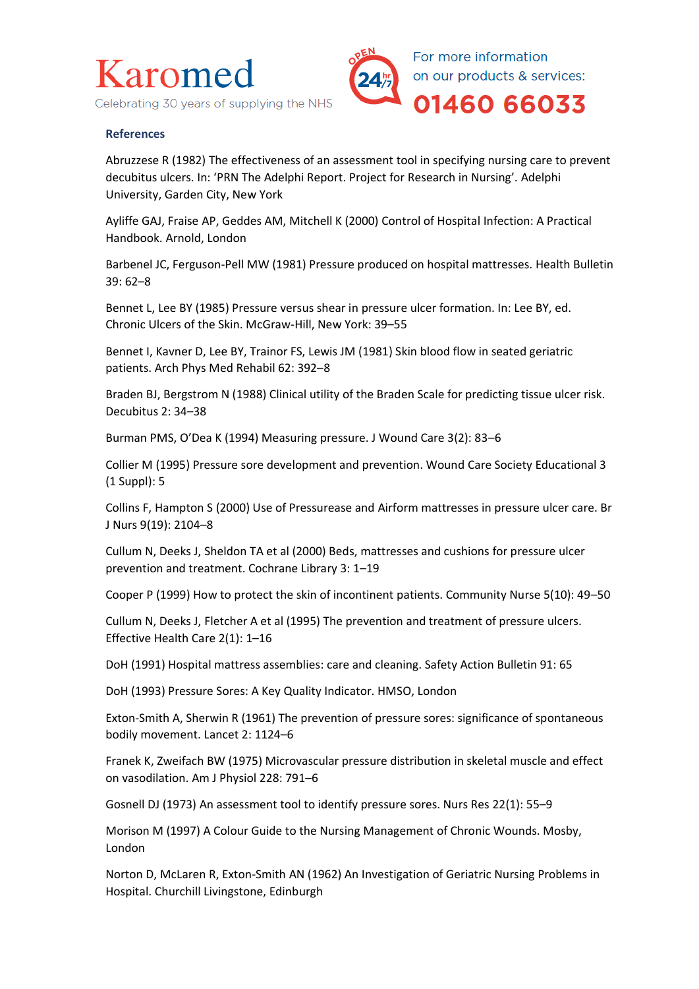



#### **References**

Abruzzese R (1982) The effectiveness of an assessment tool in specifying nursing care to prevent decubitus ulcers. In: 'PRN The Adelphi Report. Project for Research in Nursing'. Adelphi University, Garden City, New York

Ayliffe GAJ, Fraise AP, Geddes AM, Mitchell K (2000) Control of Hospital Infection: A Practical Handbook. Arnold, London

Barbenel JC, Ferguson-Pell MW (1981) Pressure produced on hospital mattresses. Health Bulletin 39: 62–8

Bennet L, Lee BY (1985) Pressure versus shear in pressure ulcer formation. In: Lee BY, ed. Chronic Ulcers of the Skin. McGraw-Hill, New York: 39–55

Bennet I, Kavner D, Lee BY, Trainor FS, Lewis JM (1981) Skin blood flow in seated geriatric patients. Arch Phys Med Rehabil 62: 392–8

Braden BJ, Bergstrom N (1988) Clinical utility of the Braden Scale for predicting tissue ulcer risk. Decubitus 2: 34–38

Burman PMS, O'Dea K (1994) Measuring pressure. J Wound Care 3(2): 83–6

Collier M (1995) Pressure sore development and prevention. Wound Care Society Educational 3 (1 Suppl): 5

Collins F, Hampton S (2000) Use of Pressurease and Airform mattresses in pressure ulcer care. Br J Nurs 9(19): 2104–8

Cullum N, Deeks J, Sheldon TA et al (2000) Beds, mattresses and cushions for pressure ulcer prevention and treatment. Cochrane Library 3: 1–19

Cooper P (1999) How to protect the skin of incontinent patients. Community Nurse 5(10): 49–50

Cullum N, Deeks J, Fletcher A et al (1995) The prevention and treatment of pressure ulcers. Effective Health Care 2(1): 1–16

DoH (1991) Hospital mattress assemblies: care and cleaning. Safety Action Bulletin 91: 65

DoH (1993) Pressure Sores: A Key Quality Indicator. HMSO, London

Exton-Smith A, Sherwin R (1961) The prevention of pressure sores: significance of spontaneous bodily movement. Lancet 2: 1124–6

Franek K, Zweifach BW (1975) Microvascular pressure distribution in skeletal muscle and effect on vasodilation. Am J Physiol 228: 791–6

Gosnell DJ (1973) An assessment tool to identify pressure sores. Nurs Res 22(1): 55–9

Morison M (1997) A Colour Guide to the Nursing Management of Chronic Wounds. Mosby, London

Norton D, McLaren R, Exton-Smith AN (1962) An Investigation of Geriatric Nursing Problems in Hospital. Churchill Livingstone, Edinburgh